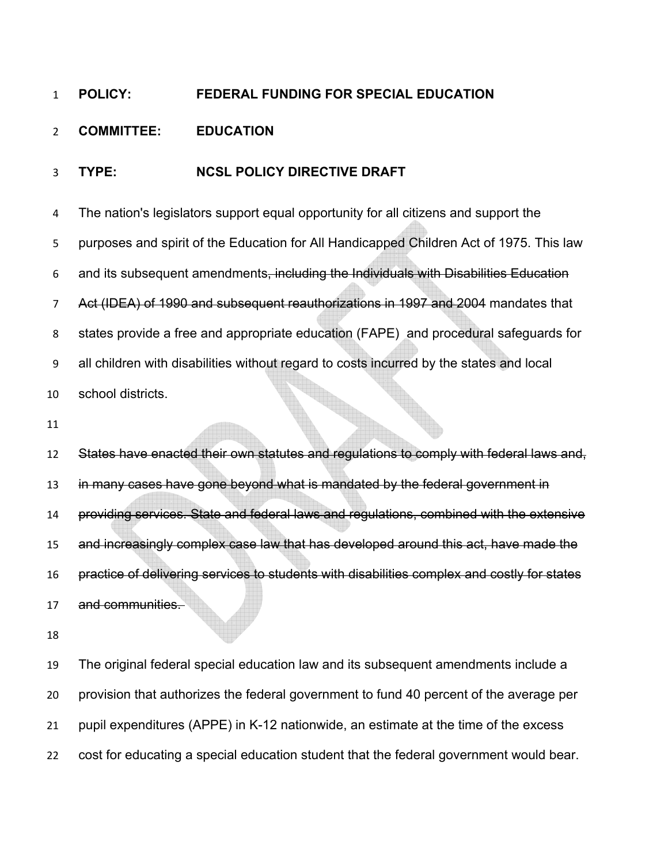## **POLICY: FEDERAL FUNDING FOR SPECIAL EDUCATION**

## **COMMITTEE: EDUCATION**

## **TYPE: NCSL POLICY DIRECTIVE DRAFT**

The nation's legislators support equal opportunity for all citizens and support the purposes and spirit of the Education for All Handicapped Children Act of 1975. This law and its subsequent amendments, including the Individuals with Disabilities Education Act (IDEA) of 1990 and subsequent reauthorizations in 1997 and 2004 mandates that states provide a free and appropriate education (FAPE) and procedural safeguards for all children with disabilities without regard to costs incurred by the states and local school districts.

States have enacted their own statutes and regulations to comply with federal laws and, 13 in many cases have gone beyond what is mandated by the federal government in providing services. State and federal laws and regulations, combined with the extensive and increasingly complex case law that has developed around this act, have made the practice of delivering services to students with disabilities complex and costly for states and communities.

The original federal special education law and its subsequent amendments include a provision that authorizes the federal government to fund 40 percent of the average per pupil expenditures (APPE) in K-12 nationwide, an estimate at the time of the excess cost for educating a special education student that the federal government would bear.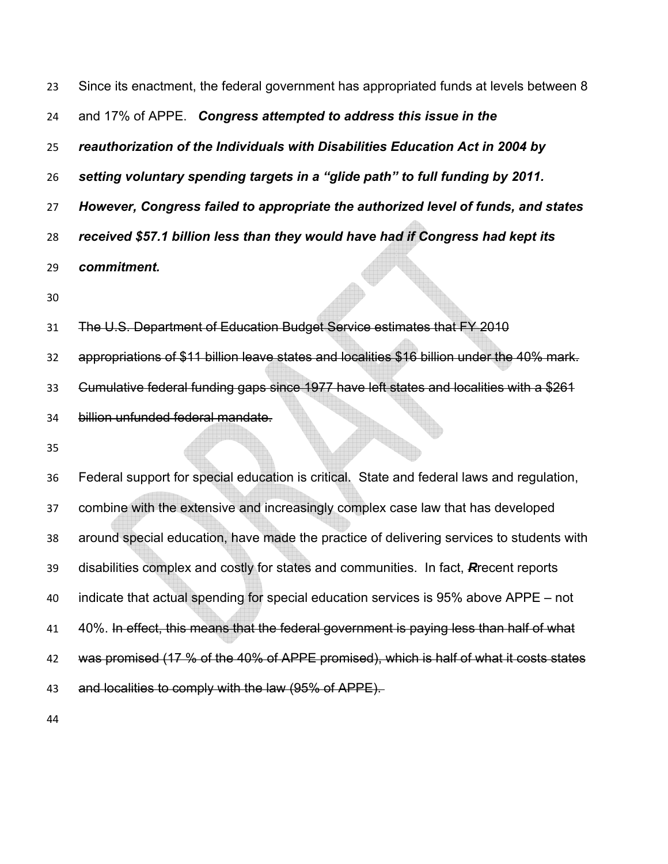Since its enactment, the federal government has appropriated funds at levels between 8 and 17% of APPE. *Congress attempted to address this issue in the reauthorization of the Individuals with Disabilities Education Act in 2004 by setting voluntary spending targets in a "glide path" to full funding by 2011. However, Congress failed to appropriate the authorized level of funds, and states received \$57.1 billion less than they would have had if Congress had kept its commitment.*  The U.S. Department of Education Budget Service estimates that FY 2010 appropriations of \$11 billion leave states and localities \$16 billion under the 40% mark. Cumulative federal funding gaps since 1977 have left states and localities with a \$261 billion unfunded federal mandate. Federal support for special education is critical. State and federal laws and regulation, combine with the extensive and increasingly complex case law that has developed

around special education, have made the practice of delivering services to students with disabilities complex and costly for states and communities. In fact, *R*recent reports indicate that actual spending for special education services is 95% above APPE – not 40%. In effect, this means that the federal government is paying less than half of what 42 was promised (17 % of the 40% of APPE promised), which is half of what it costs states 43 and localities to comply with the law (95% of APPE).